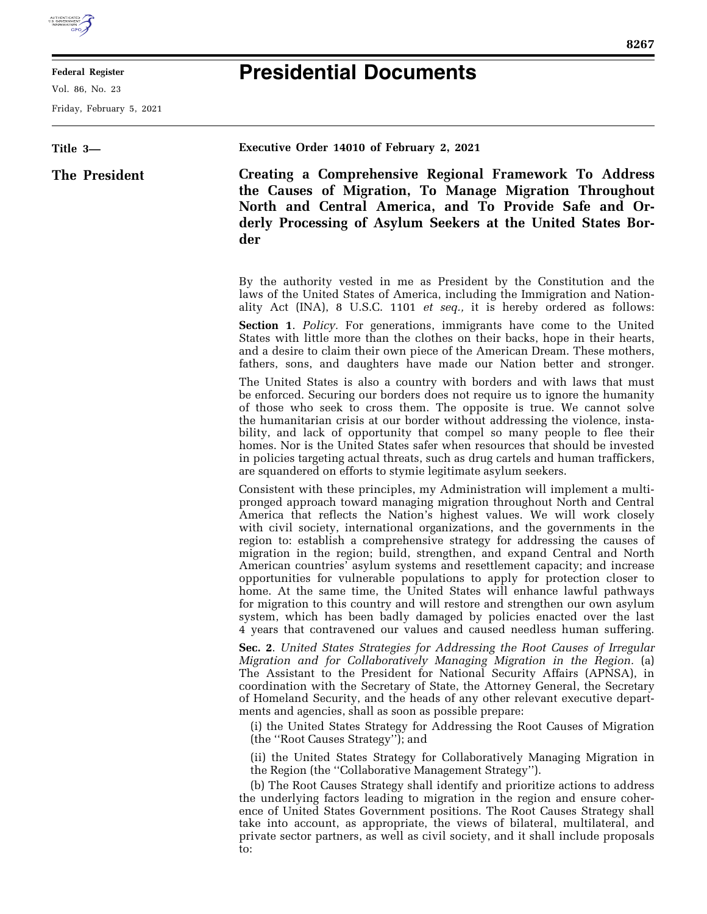

## **Federal Register**

Vol. 86, No. 23

Friday, February 5, 2021

## **Presidential Documents**

| Title 3-      | Executive Order 14010 of February 2, 2021                                                                                                                                                                                                                                                                                                                                                                                                                                                                                                                                                                                                                                                                                                                                                                                                                                                                                                              |
|---------------|--------------------------------------------------------------------------------------------------------------------------------------------------------------------------------------------------------------------------------------------------------------------------------------------------------------------------------------------------------------------------------------------------------------------------------------------------------------------------------------------------------------------------------------------------------------------------------------------------------------------------------------------------------------------------------------------------------------------------------------------------------------------------------------------------------------------------------------------------------------------------------------------------------------------------------------------------------|
| The President | Creating a Comprehensive Regional Framework To Address<br>the Causes of Migration, To Manage Migration Throughout<br>North and Central America, and To Provide Safe and Or-<br>derly Processing of Asylum Seekers at the United States Bor-<br>der                                                                                                                                                                                                                                                                                                                                                                                                                                                                                                                                                                                                                                                                                                     |
|               | By the authority vested in me as President by the Constitution and the<br>laws of the United States of America, including the Immigration and Nation-<br>ality Act (INA), 8 U.S.C. 1101 <i>et seq.</i> , it is hereby ordered as follows:                                                                                                                                                                                                                                                                                                                                                                                                                                                                                                                                                                                                                                                                                                              |
|               | <b>Section 1.</b> Policy. For generations, immigrants have come to the United<br>States with little more than the clothes on their backs, hope in their hearts,<br>and a desire to claim their own piece of the American Dream. These mothers,<br>fathers, sons, and daughters have made our Nation better and stronger.                                                                                                                                                                                                                                                                                                                                                                                                                                                                                                                                                                                                                               |
|               | The United States is also a country with borders and with laws that must<br>be enforced. Securing our borders does not require us to ignore the humanity<br>of those who seek to cross them. The opposite is true. We cannot solve<br>the humanitarian crisis at our border without addressing the violence, insta-<br>bility, and lack of opportunity that compel so many people to flee their<br>homes. Nor is the United States safer when resources that should be invested<br>in policies targeting actual threats, such as drug cartels and human traffickers,<br>are squandered on efforts to stymie legitimate asylum seekers.                                                                                                                                                                                                                                                                                                                 |
|               | Consistent with these principles, my Administration will implement a multi-<br>pronged approach toward managing migration throughout North and Central<br>America that reflects the Nation's highest values. We will work closely<br>with civil society, international organizations, and the governments in the<br>region to: establish a comprehensive strategy for addressing the causes of<br>migration in the region; build, strengthen, and expand Central and North<br>American countries' asylum systems and resettlement capacity; and increase<br>opportunities for vulnerable populations to apply for protection closer to<br>home. At the same time, the United States will enhance lawful pathways<br>for migration to this country and will restore and strengthen our own asylum<br>system, which has been badly damaged by policies enacted over the last<br>4 years that contravened our values and caused needless human suffering. |
|               | Sec. 2. United States Strategies for Addressing the Root Causes of Irregular<br>Migration and for Collaboratively Managing Migration in the Region. (a)<br>The Assistant to the President for National Security Affairs (APNSA), in<br>coordination with the Secretary of State, the Attorney General, the Secretary<br>of Homeland Security, and the heads of any other relevant executive depart-<br>ments and agencies, shall as soon as possible prepare:<br>(i) the United States Strategy for Addressing the Root Causes of Migration<br>(the "Root Causes Strategy"); and                                                                                                                                                                                                                                                                                                                                                                       |
|               | (ii) the United States Strategy for Collaboratively Managing Migration in<br>the Region (the "Collaborative Management Strategy").<br>(b) The Root Causes Strategy shall identify and prioritize actions to address<br>the underlying factors leading to migration in the region and ensure coher-<br>ence of United States Government positions. The Root Causes Strategy shall<br>take into account, as appropriate, the views of bilateral, multilateral, and                                                                                                                                                                                                                                                                                                                                                                                                                                                                                       |

to:

private sector partners, as well as civil society, and it shall include proposals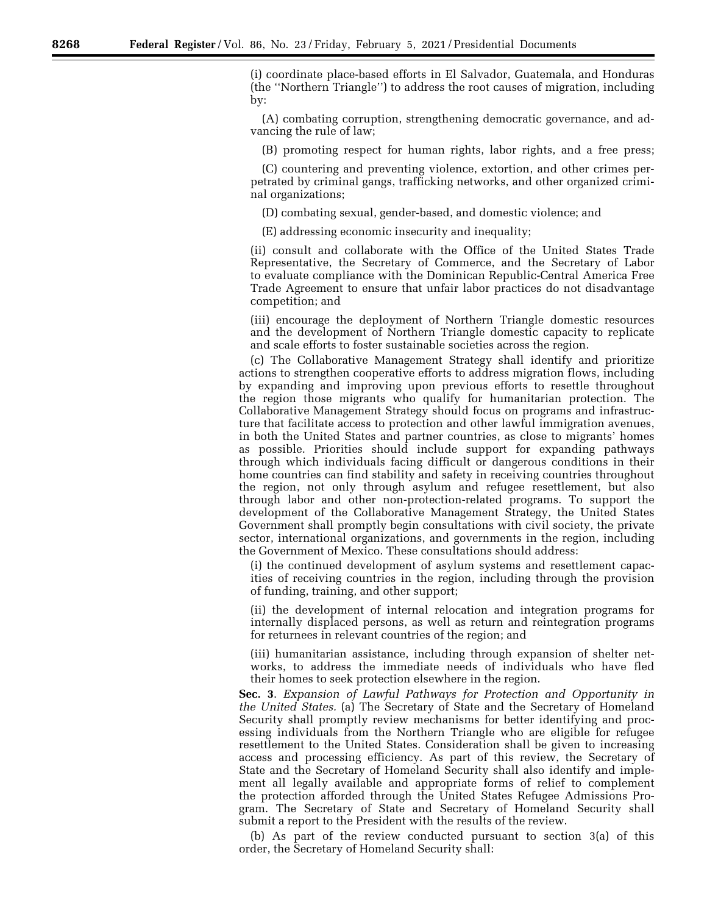(i) coordinate place-based efforts in El Salvador, Guatemala, and Honduras (the ''Northern Triangle'') to address the root causes of migration, including by:

(A) combating corruption, strengthening democratic governance, and advancing the rule of law;

(B) promoting respect for human rights, labor rights, and a free press;

(C) countering and preventing violence, extortion, and other crimes perpetrated by criminal gangs, trafficking networks, and other organized criminal organizations;

(D) combating sexual, gender-based, and domestic violence; and

(E) addressing economic insecurity and inequality;

(ii) consult and collaborate with the Office of the United States Trade Representative, the Secretary of Commerce, and the Secretary of Labor to evaluate compliance with the Dominican Republic-Central America Free Trade Agreement to ensure that unfair labor practices do not disadvantage competition; and

(iii) encourage the deployment of Northern Triangle domestic resources and the development of Northern Triangle domestic capacity to replicate and scale efforts to foster sustainable societies across the region.

(c) The Collaborative Management Strategy shall identify and prioritize actions to strengthen cooperative efforts to address migration flows, including by expanding and improving upon previous efforts to resettle throughout the region those migrants who qualify for humanitarian protection. The Collaborative Management Strategy should focus on programs and infrastructure that facilitate access to protection and other lawful immigration avenues, in both the United States and partner countries, as close to migrants' homes as possible. Priorities should include support for expanding pathways through which individuals facing difficult or dangerous conditions in their home countries can find stability and safety in receiving countries throughout the region, not only through asylum and refugee resettlement, but also through labor and other non-protection-related programs. To support the development of the Collaborative Management Strategy, the United States Government shall promptly begin consultations with civil society, the private sector, international organizations, and governments in the region, including the Government of Mexico. These consultations should address:

(i) the continued development of asylum systems and resettlement capacities of receiving countries in the region, including through the provision of funding, training, and other support;

(ii) the development of internal relocation and integration programs for internally displaced persons, as well as return and reintegration programs for returnees in relevant countries of the region; and

(iii) humanitarian assistance, including through expansion of shelter networks, to address the immediate needs of individuals who have fled their homes to seek protection elsewhere in the region.

**Sec. 3**. *Expansion of Lawful Pathways for Protection and Opportunity in the United States.* (a) The Secretary of State and the Secretary of Homeland Security shall promptly review mechanisms for better identifying and processing individuals from the Northern Triangle who are eligible for refugee resettlement to the United States. Consideration shall be given to increasing access and processing efficiency. As part of this review, the Secretary of State and the Secretary of Homeland Security shall also identify and implement all legally available and appropriate forms of relief to complement the protection afforded through the United States Refugee Admissions Program. The Secretary of State and Secretary of Homeland Security shall submit a report to the President with the results of the review.

(b) As part of the review conducted pursuant to section 3(a) of this order, the Secretary of Homeland Security shall: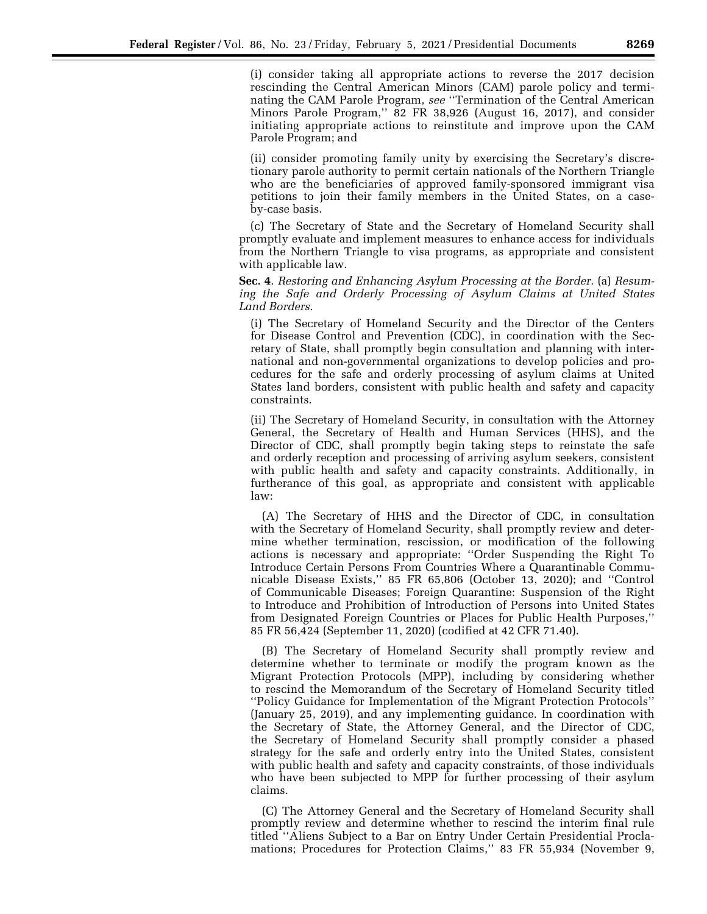(i) consider taking all appropriate actions to reverse the 2017 decision rescinding the Central American Minors (CAM) parole policy and terminating the CAM Parole Program, *see* ''Termination of the Central American Minors Parole Program,'' 82 FR 38,926 (August 16, 2017), and consider initiating appropriate actions to reinstitute and improve upon the CAM Parole Program; and

(ii) consider promoting family unity by exercising the Secretary's discretionary parole authority to permit certain nationals of the Northern Triangle who are the beneficiaries of approved family-sponsored immigrant visa petitions to join their family members in the United States, on a caseby-case basis.

(c) The Secretary of State and the Secretary of Homeland Security shall promptly evaluate and implement measures to enhance access for individuals from the Northern Triangle to visa programs, as appropriate and consistent with applicable law.

**Sec. 4**. *Restoring and Enhancing Asylum Processing at the Border.* (a) *Resuming the Safe and Orderly Processing of Asylum Claims at United States Land Borders.* 

(i) The Secretary of Homeland Security and the Director of the Centers for Disease Control and Prevention (CDC), in coordination with the Secretary of State, shall promptly begin consultation and planning with international and non-governmental organizations to develop policies and procedures for the safe and orderly processing of asylum claims at United States land borders, consistent with public health and safety and capacity constraints.

(ii) The Secretary of Homeland Security, in consultation with the Attorney General, the Secretary of Health and Human Services (HHS), and the Director of CDC, shall promptly begin taking steps to reinstate the safe and orderly reception and processing of arriving asylum seekers, consistent with public health and safety and capacity constraints. Additionally, in furtherance of this goal, as appropriate and consistent with applicable law:

(A) The Secretary of HHS and the Director of CDC, in consultation with the Secretary of Homeland Security, shall promptly review and determine whether termination, rescission, or modification of the following actions is necessary and appropriate: ''Order Suspending the Right To Introduce Certain Persons From Countries Where a Quarantinable Communicable Disease Exists,'' 85 FR 65,806 (October 13, 2020); and ''Control of Communicable Diseases; Foreign Quarantine: Suspension of the Right to Introduce and Prohibition of Introduction of Persons into United States from Designated Foreign Countries or Places for Public Health Purposes,'' 85 FR 56,424 (September 11, 2020) (codified at 42 CFR 71.40).

(B) The Secretary of Homeland Security shall promptly review and determine whether to terminate or modify the program known as the Migrant Protection Protocols (MPP), including by considering whether to rescind the Memorandum of the Secretary of Homeland Security titled ''Policy Guidance for Implementation of the Migrant Protection Protocols'' (January 25, 2019), and any implementing guidance. In coordination with the Secretary of State, the Attorney General, and the Director of CDC, the Secretary of Homeland Security shall promptly consider a phased strategy for the safe and orderly entry into the United States, consistent with public health and safety and capacity constraints, of those individuals who have been subjected to MPP for further processing of their asylum claims.

(C) The Attorney General and the Secretary of Homeland Security shall promptly review and determine whether to rescind the interim final rule titled ''Aliens Subject to a Bar on Entry Under Certain Presidential Proclamations; Procedures for Protection Claims,'' 83 FR 55,934 (November 9,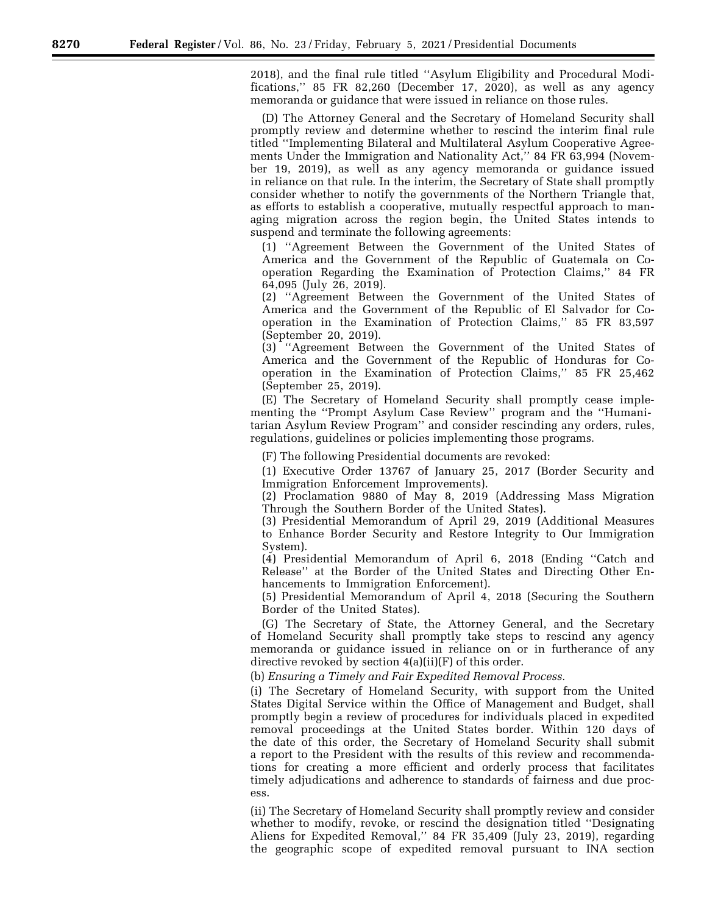2018), and the final rule titled ''Asylum Eligibility and Procedural Modifications,'' 85 FR 82,260 (December 17, 2020), as well as any agency memoranda or guidance that were issued in reliance on those rules.

(D) The Attorney General and the Secretary of Homeland Security shall promptly review and determine whether to rescind the interim final rule titled ''Implementing Bilateral and Multilateral Asylum Cooperative Agreements Under the Immigration and Nationality Act,'' 84 FR 63,994 (November 19, 2019), as well as any agency memoranda or guidance issued in reliance on that rule. In the interim, the Secretary of State shall promptly consider whether to notify the governments of the Northern Triangle that, as efforts to establish a cooperative, mutually respectful approach to managing migration across the region begin, the United States intends to suspend and terminate the following agreements:

(1) ''Agreement Between the Government of the United States of America and the Government of the Republic of Guatemala on Cooperation Regarding the Examination of Protection Claims,'' 84 FR 64,095 (July 26, 2019).

(2) ''Agreement Between the Government of the United States of America and the Government of the Republic of El Salvador for Cooperation in the Examination of Protection Claims,'' 85 FR 83,597 (September 20, 2019).

(3) ''Agreement Between the Government of the United States of America and the Government of the Republic of Honduras for Cooperation in the Examination of Protection Claims,'' 85 FR 25,462 (September 25, 2019).

(E) The Secretary of Homeland Security shall promptly cease implementing the ''Prompt Asylum Case Review'' program and the ''Humanitarian Asylum Review Program'' and consider rescinding any orders, rules, regulations, guidelines or policies implementing those programs.

(F) The following Presidential documents are revoked:

(1) Executive Order 13767 of January 25, 2017 (Border Security and Immigration Enforcement Improvements).

(2) Proclamation 9880 of May 8, 2019 (Addressing Mass Migration Through the Southern Border of the United States).

(3) Presidential Memorandum of April 29, 2019 (Additional Measures to Enhance Border Security and Restore Integrity to Our Immigration System).

(4) Presidential Memorandum of April 6, 2018 (Ending ''Catch and Release'' at the Border of the United States and Directing Other Enhancements to Immigration Enforcement).

(5) Presidential Memorandum of April 4, 2018 (Securing the Southern Border of the United States).

(G) The Secretary of State, the Attorney General, and the Secretary of Homeland Security shall promptly take steps to rescind any agency memoranda or guidance issued in reliance on or in furtherance of any directive revoked by section 4(a)(ii)(F) of this order.

(b) *Ensuring a Timely and Fair Expedited Removal Process.* 

(i) The Secretary of Homeland Security, with support from the United States Digital Service within the Office of Management and Budget, shall promptly begin a review of procedures for individuals placed in expedited removal proceedings at the United States border. Within 120 days of the date of this order, the Secretary of Homeland Security shall submit a report to the President with the results of this review and recommendations for creating a more efficient and orderly process that facilitates timely adjudications and adherence to standards of fairness and due process.

(ii) The Secretary of Homeland Security shall promptly review and consider whether to modify, revoke, or rescind the designation titled ''Designating Aliens for Expedited Removal,'' 84 FR 35,409 (July 23, 2019), regarding the geographic scope of expedited removal pursuant to INA section